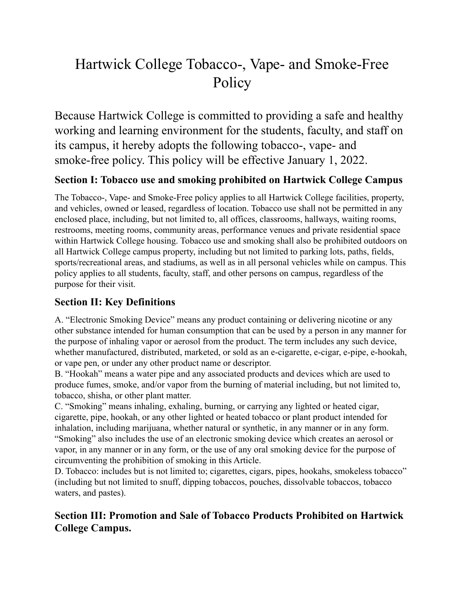# Hartwick College Tobacco-, Vape- and Smoke-Free Policy

Because Hartwick College is committed to providing a safe and healthy working and learning environment for the students, faculty, and staff on its campus, it hereby adopts the following tobacco-, vape- and smoke-free policy. This policy will be effective January 1, 2022.

## **Section I: Tobacco use and smoking prohibited on Hartwick College Campus**

The Tobacco-, Vape- and Smoke-Free policy applies to all Hartwick College facilities, property, and vehicles, owned or leased, regardless of location. Tobacco use shall not be permitted in any enclosed place, including, but not limited to, all offices, classrooms, hallways, waiting rooms, restrooms, meeting rooms, community areas, performance venues and private residential space within Hartwick College housing. Tobacco use and smoking shall also be prohibited outdoors on all Hartwick College campus property, including but not limited to parking lots, paths, fields, sports/recreational areas, and stadiums, as well as in all personal vehicles while on campus. This policy applies to all students, faculty, staff, and other persons on campus, regardless of the purpose for their visit.

### **Section II: Key Definitions**

A. "Electronic Smoking Device" means any product containing or delivering nicotine or any other substance intended for human consumption that can be used by a person in any manner for the purpose of inhaling vapor or aerosol from the product. The term includes any such device, whether manufactured, distributed, marketed, or sold as an e-cigarette, e-cigar, e-pipe, e-hookah, or vape pen, or under any other product name or descriptor.

B. "Hookah" means a water pipe and any associated products and devices which are used to produce fumes, smoke, and/or vapor from the burning of material including, but not limited to, tobacco, shisha, or other plant matter.

C. "Smoking" means inhaling, exhaling, burning, or carrying any lighted or heated cigar, cigarette, pipe, hookah, or any other lighted or heated tobacco or plant product intended for inhalation, including marijuana, whether natural or synthetic, in any manner or in any form. "Smoking" also includes the use of an electronic smoking device which creates an aerosol or vapor, in any manner or in any form, or the use of any oral smoking device for the purpose of circumventing the prohibition of smoking in this Article.

D. Tobacco: includes but is not limited to; cigarettes, cigars, pipes, hookahs, smokeless tobacco" (including but not limited to snuff, dipping tobaccos, pouches, dissolvable tobaccos, tobacco waters, and pastes).

## **Section III: Promotion and Sale of Tobacco Products Prohibited on Hartwick College Campus.**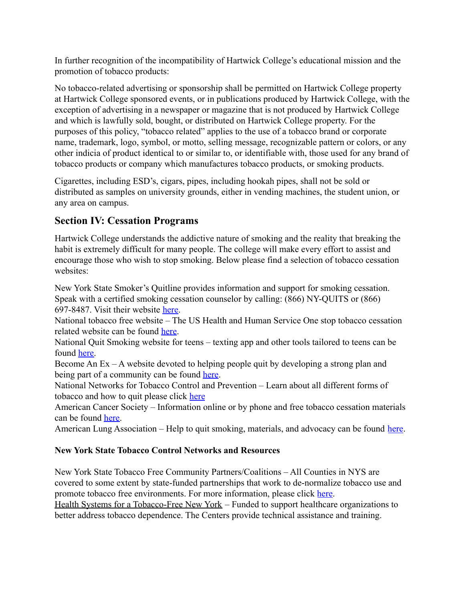In further recognition of the incompatibility of Hartwick College's educational mission and the promotion of tobacco products:

No tobacco-related advertising or sponsorship shall be permitted on Hartwick College property at Hartwick College sponsored events, or in publications produced by Hartwick College, with the exception of advertising in a newspaper or magazine that is not produced by Hartwick College and which is lawfully sold, bought, or distributed on Hartwick College property. For the purposes of this policy, "tobacco related" applies to the use of a tobacco brand or corporate name, trademark, logo, symbol, or motto, selling message, recognizable pattern or colors, or any other indicia of product identical to or similar to, or identifiable with, those used for any brand of tobacco products or company which manufactures tobacco products, or smoking products.

Cigarettes, including ESD's, cigars, pipes, including hookah pipes, shall not be sold or distributed as samples on university grounds, either in vending machines, the student union, or any area on campus.

## **Section IV: Cessation Programs**

Hartwick College understands the addictive nature of smoking and the reality that breaking the habit is extremely difficult for many people. The college will make every effort to assist and encourage those who wish to stop smoking. Below please find a selection of tobacco cessation websites:

New York State Smoker's Quitline provides information and support for smoking cessation. Speak with a certified smoking cessation counselor by calling: (866) NY-QUITS or (866) 697-8487. Visit their website [here.](https://www.nysmokefree.com/)

National tobacco free website – The US Health and Human Service One stop tobacco cessation related website can be found [here.](http://betobaccofree.hhs.gov/)

National Quit Smoking website for teens – texting app and other tools tailored to teens can be found [here.](http://teen.smokefree.gov/)

Become An Ex – A website devoted to helping people quit by developing a strong plan and being part of a community can be found [here.](http://www.becomeanex.org/)

National Networks for Tobacco Control and Prevention – Learn about all different forms of tobacco and how to quit please click [here](https://www.nystobaccofreecolleges.org/contact-us/#.XfO3sehKgdU)

American Cancer Society – Information online or by phone and free tobacco cessation materials can be found [here.](http://www.cancer.org/healthy/stayawayfromtobacco/index)

American Lung Association – Help to quit smoking, materials, and advocacy can be found [here](http://www.lung.org/stop-smoking/).

#### **New York State Tobacco Control Networks and Resources**

New York State Tobacco Free Community Partners/Coalitions – All Counties in NYS are covered to some extent by state-funded partnerships that work to de-normalize tobacco use and promote tobacco free environments. For more information, please click [here](https://www.nystobaccofreecolleges.org/contact-us/#.YR_2to5KjIV).

[Health Systems for a Tobacco-Free New York](http://www.nysmokefree.com/ConfCalls/CCNYSDownloads/CessationCenterContactlist.pdf) – Funded to support healthcare organizations to better address tobacco dependence. The Centers provide technical assistance and training.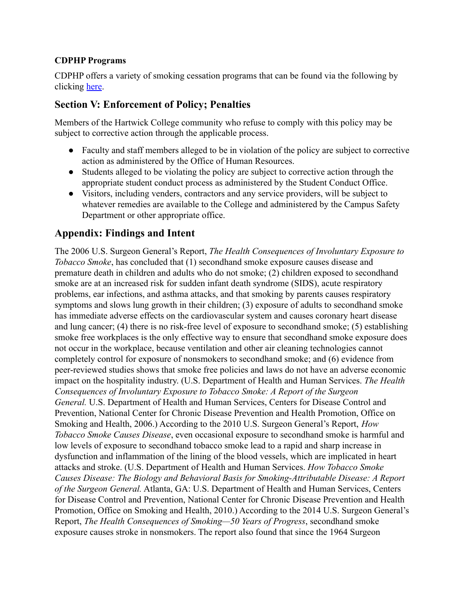#### **CDPHP Programs**

CDPHP offers a variety of smoking cessation programs that can be found via the following by clicking [here](https://www.cdphp.com/members/wellness/common-health-topics/quit-smoking-resources).

## **Section V: Enforcement of Policy; Penalties**

Members of the Hartwick College community who refuse to comply with this policy may be subject to corrective action through the applicable process.

- Faculty and staff members alleged to be in violation of the policy are subject to corrective action as administered by the Office of Human Resources.
- Students alleged to be violating the policy are subject to corrective action through the appropriate student conduct process as administered by the Student Conduct Office.
- Visitors, including venders, contractors and any service providers, will be subject to whatever remedies are available to the College and administered by the Campus Safety Department or other appropriate office.

## **Appendix: Findings and Intent**

The 2006 U.S. Surgeon General's Report, *The Health Consequences of Involuntary Exposure to Tobacco Smoke*, has concluded that (1) secondhand smoke exposure causes disease and premature death in children and adults who do not smoke; (2) children exposed to secondhand smoke are at an increased risk for sudden infant death syndrome (SIDS), acute respiratory problems, ear infections, and asthma attacks, and that smoking by parents causes respiratory symptoms and slows lung growth in their children; (3) exposure of adults to secondhand smoke has immediate adverse effects on the cardiovascular system and causes coronary heart disease and lung cancer; (4) there is no risk-free level of exposure to secondhand smoke; (5) establishing smoke free workplaces is the only effective way to ensure that secondhand smoke exposure does not occur in the workplace, because ventilation and other air cleaning technologies cannot completely control for exposure of nonsmokers to secondhand smoke; and (6) evidence from peer-reviewed studies shows that smoke free policies and laws do not have an adverse economic impact on the hospitality industry. (U.S. Department of Health and Human Services. *The Health Consequences of Involuntary Exposure to Tobacco Smoke: A Report of the Surgeon General.* U.S. Department of Health and Human Services, Centers for Disease Control and Prevention, National Center for Chronic Disease Prevention and Health Promotion, Office on Smoking and Health, 2006.) According to the 2010 U.S. Surgeon General's Report, *How Tobacco Smoke Causes Disease*, even occasional exposure to secondhand smoke is harmful and low levels of exposure to secondhand tobacco smoke lead to a rapid and sharp increase in dysfunction and inflammation of the lining of the blood vessels, which are implicated in heart attacks and stroke. (U.S. Department of Health and Human Services. *How Tobacco Smoke Causes Disease: The Biology and Behavioral Basis for Smoking-Attributable Disease: A Report of the Surgeon General.* Atlanta, GA: U.S. Department of Health and Human Services, Centers for Disease Control and Prevention, National Center for Chronic Disease Prevention and Health Promotion, Office on Smoking and Health, 2010.) According to the 2014 U.S. Surgeon General's Report, *The Health Consequences of Smoking—50 Years of Progress*, secondhand smoke exposure causes stroke in nonsmokers. The report also found that since the 1964 Surgeon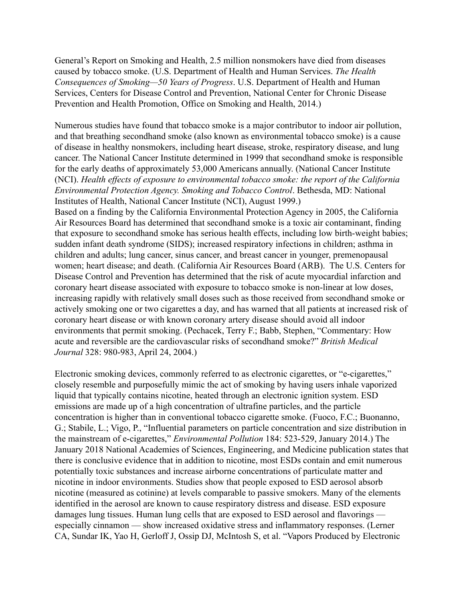General's Report on Smoking and Health, 2.5 million nonsmokers have died from diseases caused by tobacco smoke. (U.S. Department of Health and Human Services. *The Health Consequences of Smoking—50 Years of Progress*. U.S. Department of Health and Human Services, Centers for Disease Control and Prevention, National Center for Chronic Disease Prevention and Health Promotion, Office on Smoking and Health, 2014.)

Numerous studies have found that tobacco smoke is a major contributor to indoor air pollution, and that breathing secondhand smoke (also known as environmental tobacco smoke) is a cause of disease in healthy nonsmokers, including heart disease, stroke, respiratory disease, and lung cancer. The National Cancer Institute determined in 1999 that secondhand smoke is responsible for the early deaths of approximately 53,000 Americans annually. (National Cancer Institute (NCI). *Health effects of exposure to environmental tobacco smoke: the report of the California Environmental Protection Agency. Smoking and Tobacco Control*. Bethesda, MD: National Institutes of Health, National Cancer Institute (NCI), August 1999.)

Based on a finding by the California Environmental Protection Agency in 2005, the California Air Resources Board has determined that secondhand smoke is a toxic air contaminant, finding that exposure to secondhand smoke has serious health effects, including low birth-weight babies; sudden infant death syndrome (SIDS); increased respiratory infections in children; asthma in children and adults; lung cancer, sinus cancer, and breast cancer in younger, premenopausal women; heart disease; and death. (California Air Resources Board (ARB). The U.S. Centers for Disease Control and Prevention has determined that the risk of acute myocardial infarction and coronary heart disease associated with exposure to tobacco smoke is non-linear at low doses, increasing rapidly with relatively small doses such as those received from secondhand smoke or actively smoking one or two cigarettes a day, and has warned that all patients at increased risk of coronary heart disease or with known coronary artery disease should avoid all indoor environments that permit smoking. (Pechacek, Terry F.; Babb, Stephen, "Commentary: How acute and reversible are the cardiovascular risks of secondhand smoke?" *British Medical Journal* 328: 980-983, April 24, 2004.)

Electronic smoking devices, commonly referred to as electronic cigarettes, or "e-cigarettes," closely resemble and purposefully mimic the act of smoking by having users inhale vaporized liquid that typically contains nicotine, heated through an electronic ignition system. ESD emissions are made up of a high concentration of ultrafine particles, and the particle concentration is higher than in conventional tobacco cigarette smoke. (Fuoco, F.C.; Buonanno, G.; Stabile, L.; Vigo, P., "Influential parameters on particle concentration and size distribution in the mainstream of e-cigarettes," *Environmental Pollution* 184: 523-529, January 2014.) The January 2018 National Academies of Sciences, Engineering, and Medicine publication states that there is conclusive evidence that in addition to nicotine, most ESDs contain and emit numerous potentially toxic substances and increase airborne concentrations of particulate matter and nicotine in indoor environments. Studies show that people exposed to ESD aerosol absorb nicotine (measured as cotinine) at levels comparable to passive smokers. Many of the elements identified in the aerosol are known to cause respiratory distress and disease. ESD exposure damages lung tissues. Human lung cells that are exposed to ESD aerosol and flavorings especially cinnamon — show increased oxidative stress and inflammatory responses. (Lerner CA, Sundar IK, Yao H, Gerloff J, Ossip DJ, McIntosh S, et al. "Vapors Produced by Electronic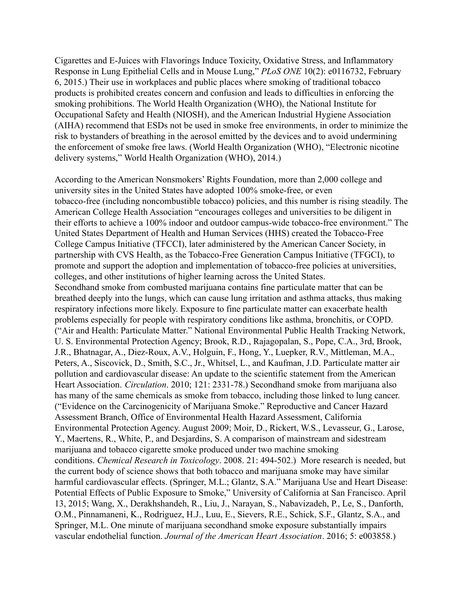Cigarettes and E-Juices with Flavorings Induce Toxicity, Oxidative Stress, and Inflammatory Response in Lung Epithelial Cells and in Mouse Lung," *PLoS ONE* 10(2): e0116732, February 6, 2015.) Their use in workplaces and public places where smoking of traditional tobacco products is prohibited creates concern and confusion and leads to difficulties in enforcing the smoking prohibitions. The World Health Organization (WHO), the National Institute for Occupational Safety and Health (NIOSH), and the American Industrial Hygiene Association (AIHA) recommend that ESDs not be used in smoke free environments, in order to minimize the risk to bystanders of breathing in the aerosol emitted by the devices and to avoid undermining the enforcement of smoke free laws. (World Health Organization (WHO), "Electronic nicotine delivery systems," World Health Organization (WHO), 2014.)

According to the American Nonsmokers' Rights Foundation, more than 2,000 college and university sites in the United States have adopted 100% smoke-free, or even tobacco-free (including noncombustible tobacco) policies, and this number is rising steadily. The American College Health Association "encourages colleges and universities to be diligent in their efforts to achieve a 100% indoor and outdoor campus-wide tobacco-free environment." The United States Department of Health and Human Services (HHS) created the Tobacco-Free College Campus Initiative (TFCCI), later administered by the American Cancer Society, in partnership with CVS Health, as the Tobacco-Free Generation Campus Initiative (TFGCI), to promote and support the adoption and implementation of tobacco-free policies at universities, colleges, and other institutions of higher learning across the United States. Secondhand smoke from combusted marijuana contains fine particulate matter that can be breathed deeply into the lungs, which can cause lung irritation and asthma attacks, thus making respiratory infections more likely. Exposure to fine particulate matter can exacerbate health problems especially for people with respiratory conditions like asthma, bronchitis, or COPD. ("Air and Health: Particulate Matter." National Environmental Public Health Tracking Network, U. S. Environmental Protection Agency; Brook, R.D., Rajagopalan, S., Pope, C.A., 3rd, Brook, J.R., Bhatnagar, A., Diez-Roux, A.V., Holguin, F., Hong, Y., Luepker, R.V., Mittleman, M.A., Peters, A., Siscovick, D., Smith, S.C., Jr., Whitsel, L., and Kaufman, J.D. Particulate matter air pollution and cardiovascular disease: An update to the scientific statement from the American Heart Association. *Circulation*. 2010; 121: 2331-78.) Secondhand smoke from marijuana also has many of the same chemicals as smoke from tobacco, including those linked to lung cancer. ("Evidence on the Carcinogenicity of Marijuana Smoke." Reproductive and Cancer Hazard Assessment Branch, Office of Environmental Health Hazard Assessment, California Environmental Protection Agency. August 2009; Moir, D., Rickert, W.S., Levasseur, G., Larose, Y., Maertens, R., White, P., and Desjardins, S. A comparison of mainstream and sidestream marijuana and tobacco cigarette smoke produced under two machine smoking conditions. *Chemical Research in Toxicology*. 2008. 21: 494-502.) More research is needed, but the current body of science shows that both tobacco and marijuana smoke may have similar harmful cardiovascular effects. (Springer, M.L.; Glantz, S.A." Marijuana Use and Heart Disease: Potential Effects of Public Exposure to Smoke," University of California at San Francisco. April 13, 2015; Wang, X., Derakhshandeh, R., Liu, J., Narayan, S., Nabavizadeh, P., Le, S., Danforth, O.M., Pinnamaneni, K., Rodriguez, H.J., Luu, E., Sievers, R.E., Schick, S.F., Glantz, S.A., and Springer, M.L. One minute of marijuana secondhand smoke exposure substantially impairs vascular endothelial function. *Journal of the American Heart Association*. 2016; 5: e003858.)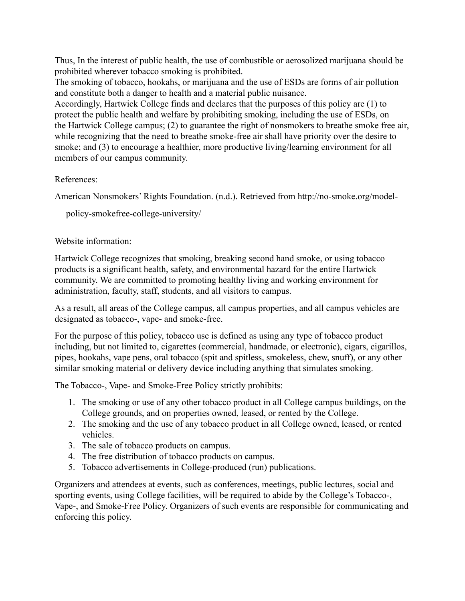Thus, In the interest of public health, the use of combustible or aerosolized marijuana should be prohibited wherever tobacco smoking is prohibited.

The smoking of tobacco, hookahs, or marijuana and the use of ESDs are forms of air pollution and constitute both a danger to health and a material public nuisance.

Accordingly, Hartwick College finds and declares that the purposes of this policy are (1) to protect the public health and welfare by prohibiting smoking, including the use of ESDs, on the Hartwick College campus; (2) to guarantee the right of nonsmokers to breathe smoke free air, while recognizing that the need to breathe smoke-free air shall have priority over the desire to smoke; and (3) to encourage a healthier, more productive living/learning environment for all members of our campus community.

#### References:

American Nonsmokers' Rights Foundation. (n.d.). Retrieved from http://no-smoke.org/model-

policy-smokefree-college-university/

#### Website information:

Hartwick College recognizes that smoking, breaking second hand smoke, or using tobacco products is a significant health, safety, and environmental hazard for the entire Hartwick community. We are committed to promoting healthy living and working environment for administration, faculty, staff, students, and all visitors to campus.

As a result, all areas of the College campus, all campus properties, and all campus vehicles are designated as tobacco-, vape- and smoke-free.

For the purpose of this policy, tobacco use is defined as using any type of tobacco product including, but not limited to, cigarettes (commercial, handmade, or electronic), cigars, cigarillos, pipes, hookahs, vape pens, oral tobacco (spit and spitless, smokeless, chew, snuff), or any other similar smoking material or delivery device including anything that simulates smoking.

The Tobacco-, Vape- and Smoke-Free Policy strictly prohibits:

- 1. The smoking or use of any other tobacco product in all College campus buildings, on the College grounds, and on properties owned, leased, or rented by the College.
- 2. The smoking and the use of any tobacco product in all College owned, leased, or rented vehicles.
- 3. The sale of tobacco products on campus.
- 4. The free distribution of tobacco products on campus.
- 5. Tobacco advertisements in College-produced (run) publications.

Organizers and attendees at events, such as conferences, meetings, public lectures, social and sporting events, using College facilities, will be required to abide by the College's Tobacco-, Vape-, and Smoke-Free Policy. Organizers of such events are responsible for communicating and enforcing this policy.